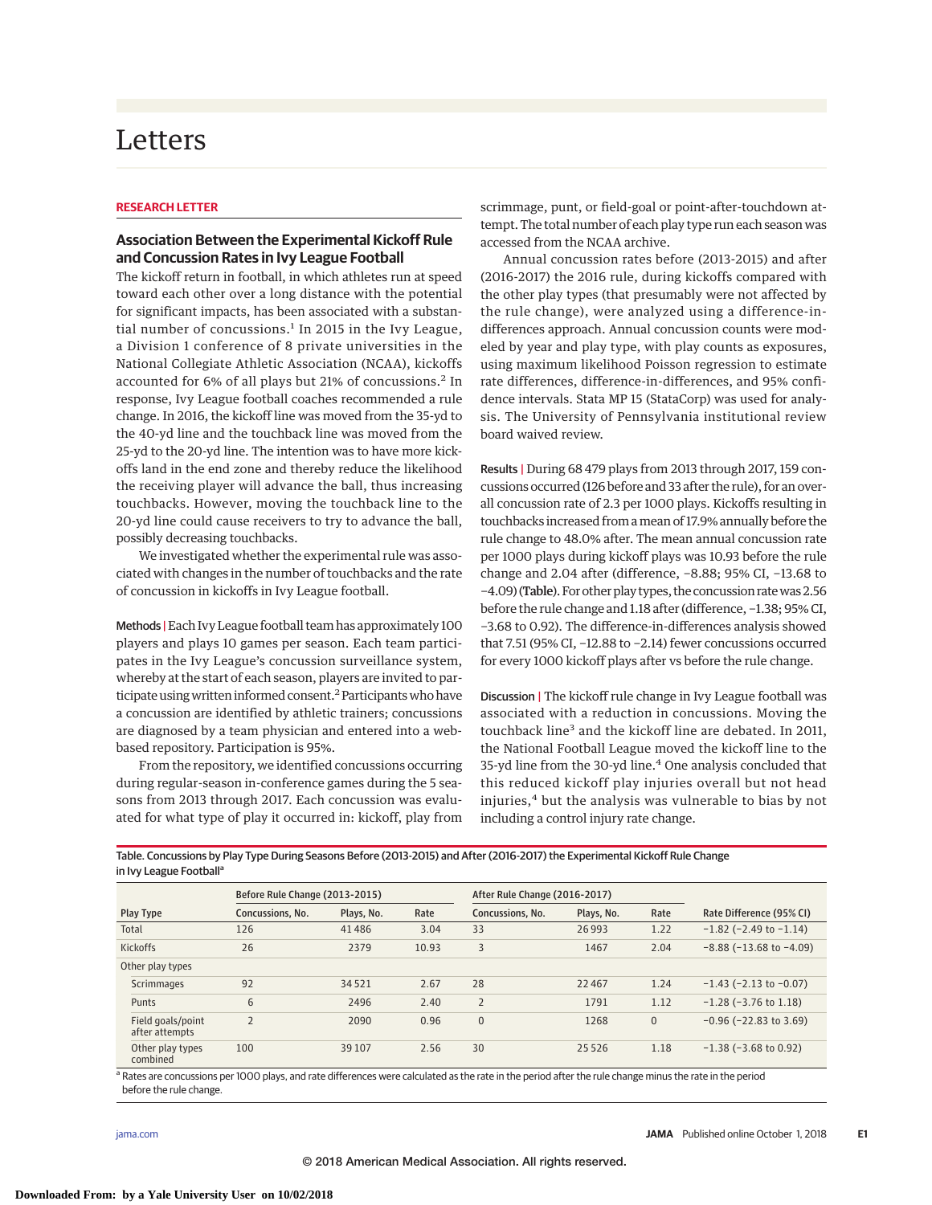# Letters

### **RESEARCH LETTER**

## **Association Between the Experimental Kickoff Rule and Concussion Rates in Ivy League Football**

The kickoff return in football, in which athletes run at speed toward each other over a long distance with the potential for significant impacts, has been associated with a substantial number of concussions. $<sup>1</sup>$  In 2015 in the Ivy League,</sup> a Division 1 conference of 8 private universities in the National Collegiate Athletic Association (NCAA), kickoffs accounted for 6% of all plays but 21% of concussions.<sup>2</sup> In response, Ivy League football coaches recommended a rule change. In 2016, the kickoff line was moved from the 35-yd to the 40-yd line and the touchback line was moved from the 25-yd to the 20-yd line. The intention was to have more kickoffs land in the end zone and thereby reduce the likelihood the receiving player will advance the ball, thus increasing touchbacks. However, moving the touchback line to the 20-yd line could cause receivers to try to advance the ball, possibly decreasing touchbacks.

We investigated whether the experimental rule was associated with changes in the number of touchbacks and the rate of concussion in kickoffs in Ivy League football.

Methods |Each Ivy League football team has approximately 100 players and plays 10 games per season. Each team participates in the Ivy League's concussion surveillance system, whereby at the start of each season, players are invited to participate using written informed consent.<sup>2</sup> Participants who have a concussion are identified by athletic trainers; concussions are diagnosed by a team physician and entered into a webbased repository. Participation is 95%.

From the repository, we identified concussions occurring during regular-season in-conference games during the 5 seasons from 2013 through 2017. Each concussion was evaluated for what type of play it occurred in: kickoff, play from

scrimmage, punt, or field-goal or point-after-touchdown attempt. The total number of each play type run each season was accessed from the NCAA archive.

Annual concussion rates before (2013-2015) and after (2016-2017) the 2016 rule, during kickoffs compared with the other play types (that presumably were not affected by the rule change), were analyzed using a difference-indifferences approach. Annual concussion counts were modeled by year and play type, with play counts as exposures, using maximum likelihood Poisson regression to estimate rate differences, difference-in-differences, and 95% confidence intervals. Stata MP 15 (StataCorp) was used for analysis. The University of Pennsylvania institutional review board waived review.

Results | During 68 479 plays from 2013 through 2017, 159 concussions occurred (126 before and 33 after the rule), for an overall concussion rate of 2.3 per 1000 plays. Kickoffs resulting in touchbacks increased from amean of 17.9% annually before the rule change to 48.0% after. The mean annual concussion rate per 1000 plays during kickoff plays was 10.93 before the rule change and 2.04 after (difference, −8.88; 95% CI, −13.68 to -4.09) (Table). For other play types, the concussion rate was 2.56 before the rule change and 1.18 after (difference, −1.38; 95% CI, −3.68 to 0.92). The difference-in-differences analysis showed that 7.51 (95% CI, −12.88 to −2.14) fewer concussions occurred for every 1000 kickoff plays after vs before the rule change.

Discussion | The kickoff rule change in Ivy League football was associated with a reduction in concussions. Moving the touchback line<sup>3</sup> and the kickoff line are debated. In 2011, the National Football League moved the kickoff line to the 35-yd line from the 30-yd line.<sup>4</sup> One analysis concluded that this reduced kickoff play injuries overall but not head injuries,<sup>4</sup> but the analysis was vulnerable to bias by not including a control injury rate change.

Table. Concussions by Play Type During Seasons Before (2013-2015) and After (2016-2017) the Experimental Kickoff Rule Change in Ivy League Football<sup>a</sup>

|                                     | Before Rule Change (2013-2015) |            |       | After Rule Change (2016-2017) |            |                |                                 |
|-------------------------------------|--------------------------------|------------|-------|-------------------------------|------------|----------------|---------------------------------|
| Play Type                           | Concussions, No.               | Plays, No. | Rate  | Concussions, No.              | Plays, No. | Rate           | Rate Difference (95% CI)        |
| Total                               | 126                            | 41486      | 3.04  | 33                            | 26993      | 1.22           | $-1.82$ ( $-2.49$ to $-1.14$ )  |
| <b>Kickoffs</b>                     | 26                             | 2379       | 10.93 | 3                             | 1467       | 2.04           | $-8.88$ ( $-13.68$ to $-4.09$ ) |
| Other play types                    |                                |            |       |                               |            |                |                                 |
| Scrimmages                          | 92                             | 34521      | 2.67  | 28                            | 22467      | 1.24           | $-1.43$ ( $-2.13$ to $-0.07$ )  |
| Punts                               | 6                              | 2496       | 2.40  | $\overline{2}$                | 1791       | 1.12           | $-1.28$ ( $-3.76$ to 1.18)      |
| Field goals/point<br>after attempts | $\overline{2}$                 | 2090       | 0.96  | $\mathbf{0}$                  | 1268       | $\overline{0}$ | $-0.96$ ( $-22.83$ to 3.69)     |
| Other play types<br>combined        | 100                            | 39 10 7    | 2.56  | 30                            | 25 5 26    | 1.18           | $-1.38$ ( $-3.68$ to 0.92)      |

a Rates are concussions per 1000 plays, and rate differences were calculated as the rate in the period after the rule change minus the rate in the period before the rule change.